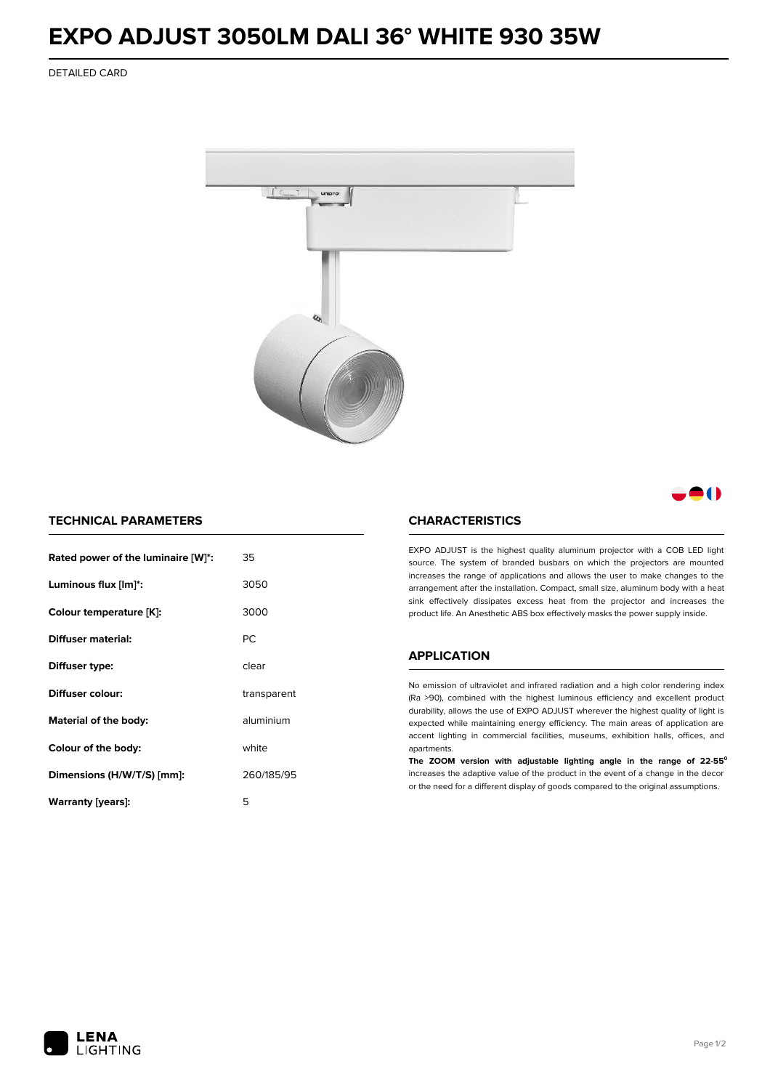## **EXPO ADJUST 3050LM DALI 36° WHITE 930 35W**

DETAILED CARD



8 ( )

### **TECHNICAL PARAMETERS**

| Rated power of the luminaire [W]*: | 35          |  |
|------------------------------------|-------------|--|
| Luminous flux [lm]*:               | 3050        |  |
| Colour temperature [K]:            | 3000        |  |
| Diffuser material:                 | PC.         |  |
| Diffuser type:                     | clear       |  |
| Diffuser colour:                   | transparent |  |
| Material of the body:              | aluminium   |  |
| Colour of the body:                | white       |  |
| Dimensions (H/W/T/S) [mm]:         | 260/185/95  |  |
| Warranty [years]:                  | 5           |  |

#### **CHARACTERISTICS**

EXPO ADJUST is the highest quality aluminum projector with a COB LED light source. The system of branded busbars on which the projectors are mounted increases the range of applications and allows the user to make changes to the arrangement after the installation. Compact, small size, aluminum body with a heat sink effectively dissipates excess heat from the projector and increases the product life. An Anesthetic ABS box effectively masks the power supply inside.

#### **APPLICATION**

No emission of ultraviolet and infrared radiation and a high color rendering index (Ra >90), combined with the highest luminous efficiency and excellent product durability, allows the use of EXPO ADJUST wherever the highest quality of light is expected while maintaining energy efficiency. The main areas of application are accent lighting in commercial facilities, museums, exhibition halls, offices, and apartments.

**The ZOOM version with adjustable lighting angle in the range of 22-55⁰** increases the adaptive value of the product in the event of a change in the decor or the need for a different display of goods compared to the original assumptions.